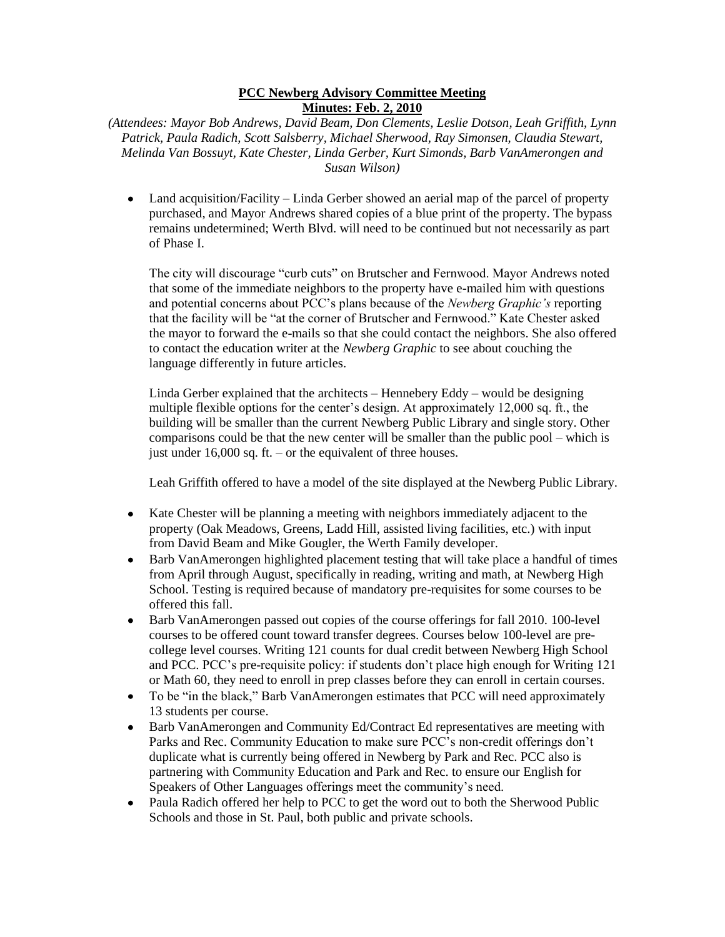## **PCC Newberg Advisory Committee Meeting Minutes: Feb. 2, 2010**

*(Attendees: Mayor Bob Andrews, David Beam, Don Clements, Leslie Dotson, Leah Griffith, Lynn Patrick, Paula Radich, Scott Salsberry, Michael Sherwood, Ray Simonsen, Claudia Stewart, Melinda Van Bossuyt, Kate Chester, Linda Gerber, Kurt Simonds, Barb VanAmerongen and Susan Wilson)*

• Land acquisition/Facility – Linda Gerber showed an aerial map of the parcel of property purchased, and Mayor Andrews shared copies of a blue print of the property. The bypass remains undetermined; Werth Blvd. will need to be continued but not necessarily as part of Phase I.

The city will discourage "curb cuts" on Brutscher and Fernwood. Mayor Andrews noted that some of the immediate neighbors to the property have e-mailed him with questions and potential concerns about PCC's plans because of the *Newberg Graphic's* reporting that the facility will be "at the corner of Brutscher and Fernwood." Kate Chester asked the mayor to forward the e-mails so that she could contact the neighbors. She also offered to contact the education writer at the *Newberg Graphic* to see about couching the language differently in future articles.

Linda Gerber explained that the architects – Hennebery Eddy – would be designing multiple flexible options for the center's design. At approximately 12,000 sq. ft., the building will be smaller than the current Newberg Public Library and single story. Other comparisons could be that the new center will be smaller than the public pool – which is just under 16,000 sq. ft. – or the equivalent of three houses.

Leah Griffith offered to have a model of the site displayed at the Newberg Public Library.

- Kate Chester will be planning a meeting with neighbors immediately adjacent to the property (Oak Meadows, Greens, Ladd Hill, assisted living facilities, etc.) with input from David Beam and Mike Gougler, the Werth Family developer.
- Barb VanAmerongen highlighted placement testing that will take place a handful of times  $\bullet$ from April through August, specifically in reading, writing and math, at Newberg High School. Testing is required because of mandatory pre-requisites for some courses to be offered this fall.
- Barb VanAmerongen passed out copies of the course offerings for fall 2010. 100-level courses to be offered count toward transfer degrees. Courses below 100-level are precollege level courses. Writing 121 counts for dual credit between Newberg High School and PCC. PCC's pre-requisite policy: if students don't place high enough for Writing 121 or Math 60, they need to enroll in prep classes before they can enroll in certain courses.
- To be "in the black," Barb VanAmerongen estimates that PCC will need approximately 13 students per course.
- Barb VanAmerongen and Community Ed/Contract Ed representatives are meeting with Parks and Rec. Community Education to make sure PCC's non-credit offerings don't duplicate what is currently being offered in Newberg by Park and Rec. PCC also is partnering with Community Education and Park and Rec. to ensure our English for Speakers of Other Languages offerings meet the community's need.
- Paula Radich offered her help to PCC to get the word out to both the Sherwood Public Schools and those in St. Paul, both public and private schools.